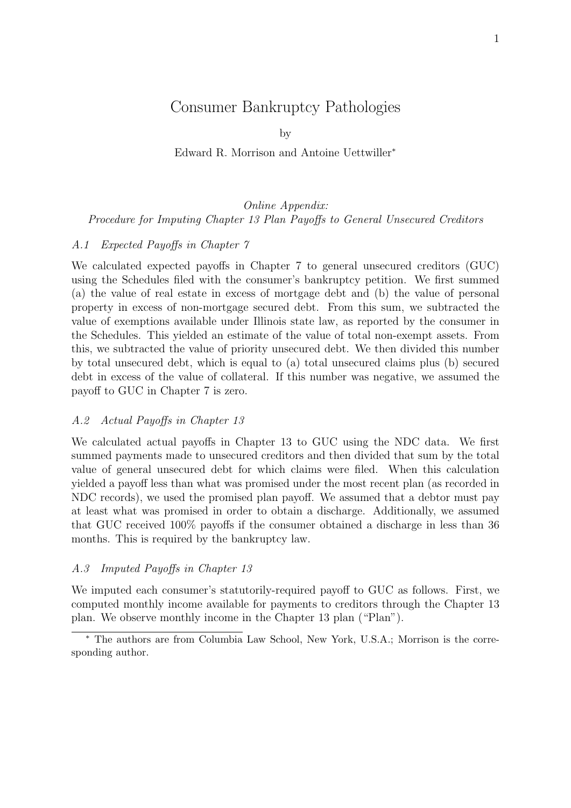# Consumer Bankruptcy Pathologies

by

Edward R. Morrison and Antoine Uettwiller<sup>∗</sup>

# Online Appendix: Procedure for Imputing Chapter 13 Plan Payoffs to General Unsecured Creditors

## A.1 Expected Payoffs in Chapter 7

We calculated expected payoffs in Chapter 7 to general unsecured creditors (GUC) using the Schedules filed with the consumer's bankruptcy petition. We first summed (a) the value of real estate in excess of mortgage debt and (b) the value of personal property in excess of non-mortgage secured debt. From this sum, we subtracted the value of exemptions available under Illinois state law, as reported by the consumer in the Schedules. This yielded an estimate of the value of total non-exempt assets. From this, we subtracted the value of priority unsecured debt. We then divided this number by total unsecured debt, which is equal to (a) total unsecured claims plus (b) secured debt in excess of the value of collateral. If this number was negative, we assumed the payoff to GUC in Chapter 7 is zero.

### A.2 Actual Payoffs in Chapter 13

We calculated actual payoffs in Chapter 13 to GUC using the NDC data. We first summed payments made to unsecured creditors and then divided that sum by the total value of general unsecured debt for which claims were filed. When this calculation yielded a payoff less than what was promised under the most recent plan (as recorded in NDC records), we used the promised plan payoff. We assumed that a debtor must pay at least what was promised in order to obtain a discharge. Additionally, we assumed that GUC received 100% payoffs if the consumer obtained a discharge in less than 36 months. This is required by the bankruptcy law.

### A.3 Imputed Payoffs in Chapter 13

We imputed each consumer's statutorily-required payoff to GUC as follows. First, we computed monthly income available for payments to creditors through the Chapter 13 plan. We observe monthly income in the Chapter 13 plan ("Plan").

<sup>∗</sup> The authors are from Columbia Law School, New York, U.S.A.; Morrison is the corresponding author.